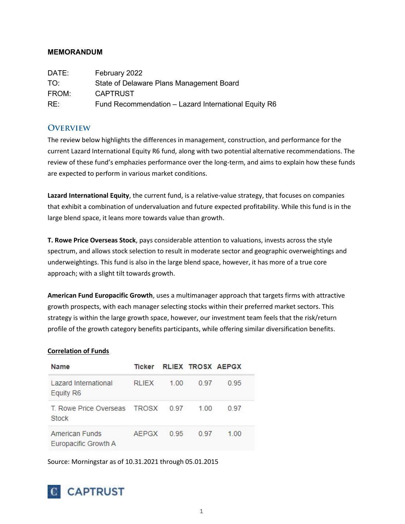## MEMORANDUM

| DATE: | February 2022                                        |
|-------|------------------------------------------------------|
| TO:   | State of Delaware Plans Management Board             |
| FROM: | <b>CAPTRUST</b>                                      |
| RE:   | Fund Recommendation - Lazard International Equity R6 |

## **OVERVIEW**

The review below highlights the differences in management, construction, and performance for the current Lazard International Equity R6 fund, along with two potential alternative recommendations. The review of these fund's emphazies performance over the long-term, and aims to explain how these funds are expected to perform in various market conditions.

Lazard International Equity, the current fund, is a relative-value strategy, that focuses on companies that exhibit a combination of undervaluation and future expected profitability. While this fund is in the large blend space, it leans more towards value than growth.

T. Rowe Price Overseas Stock, pays considerable attention to valuations, invests across the style spectrum, and allows stock selection to result in moderate sector and geographic overweightings and underweightings. This fund is also in the large blend space, however, it has more of a true core approach; with a slight tilt towards growth.

American Fund Europacific Growth, uses a multimanager approach that targets firms with attractive growth prospects, with each manager selecting stocks within their preferred market sectors. This strategy is within the large growth space, however, our investment team feels that the risk/return profile of the growth category benefits participants, while offering similar diversification benefits.

#### Correlation of Funds

| Name                                         | Ticker       |      | <b>RLIEX TROSX AEPGX</b> |      |
|----------------------------------------------|--------------|------|--------------------------|------|
| Lazard International<br>Equity R6            | <b>RLIEX</b> | 1.00 | 0.97                     | 0.95 |
| T. Rowe Price Overseas TROSX<br><b>Stock</b> |              | 0.97 | 100                      | 0.97 |
| American Funds<br>Europacific Growth A       | AEPGX        | 0.95 | 0.97                     | 100  |

Source: Morningstar as of 10.31.2021 through 05.01.2015

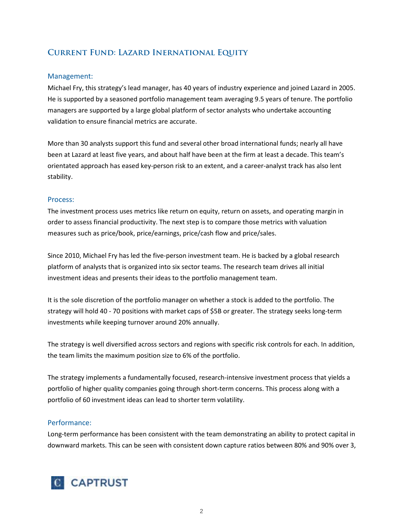# Current Fund: Lazard Inernational Equity

### Management:

Michael Fry, this strategy's lead manager, has 40 years of industry experience and joined Lazard in 2005. He is supported by a seasoned portfolio management team averaging 9.5 years of tenure. The portfolio managers are supported by a large global platform of sector analysts who undertake accounting validation to ensure financial metrics are accurate.

More than 30 analysts support this fund and several other broad international funds; nearly all have been at Lazard at least five years, and about half have been at the firm at least a decade. This team's orientated approach has eased key-person risk to an extent, and a career-analyst track has also lent stability.

#### Process:

The investment process uses metrics like return on equity, return on assets, and operating margin in order to assess financial productivity. The next step is to compare those metrics with valuation measures such as price/book, price/earnings, price/cash flow and price/sales.

Since 2010, Michael Fry has led the five-person investment team. He is backed by a global research platform of analysts that is organized into six sector teams. The research team drives all initial investment ideas and presents their ideas to the portfolio management team.

It is the sole discretion of the portfolio manager on whether a stock is added to the portfolio. The strategy will hold 40 - 70 positions with market caps of \$5B or greater. The strategy seeks long-term investments while keeping turnover around 20% annually.

The strategy is well diversified across sectors and regions with specific risk controls for each. In addition, the team limits the maximum position size to 6% of the portfolio.

The strategy implements a fundamentally focused, research-intensive investment process that yields a portfolio of higher quality companies going through short-term concerns. This process along with a portfolio of 60 investment ideas can lead to shorter term volatility.

## Performance:

Long-term performance has been consistent with the team demonstrating an ability to protect capital in downward markets. This can be seen with consistent down capture ratios between 80% and 90% over 3,

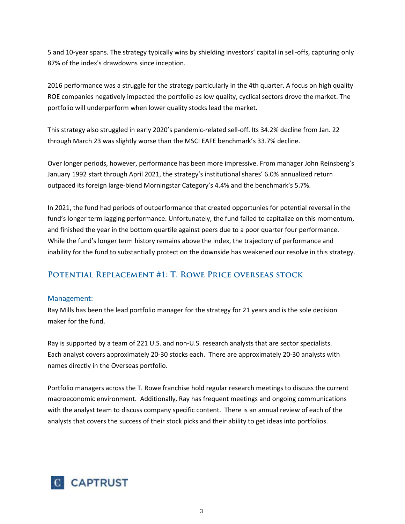5 and 10-year spans. The strategy typically wins by shielding investors' capital in sell-offs, capturing only 87% of the index's drawdowns since inception.

2016 performance was a struggle for the strategy particularly in the 4th quarter. A focus on high quality ROE companies negatively impacted the portfolio as low quality, cyclical sectors drove the market. The portfolio will underperform when lower quality stocks lead the market.

This strategy also struggled in early 2020's pandemic-related sell-off. Its 34.2% decline from Jan. 22 through March 23 was slightly worse than the MSCI EAFE benchmark's 33.7% decline.

Over longer periods, however, performance has been more impressive. From manager John Reinsberg's January 1992 start through April 2021, the strategy's institutional shares' 6.0% annualized return outpaced its foreign large-blend Morningstar Category's 4.4% and the benchmark's 5.7%.

In 2021, the fund had periods of outperformance that created opportunies for potential reversal in the fund's longer term lagging performance. Unfortunately, the fund failed to capitalize on this momentum, and finished the year in the bottom quartile against peers due to a poor quarter four performance. While the fund's longer term history remains above the index, the trajectory of performance and inability for the fund to substantially protect on the downside has weakened our resolve in this strategy.

## Potential Replacement #1: T. Rowe Price overseas stock

#### Management:

Ray Mills has been the lead portfolio manager for the strategy for 21 years and is the sole decision maker for the fund.

Ray is supported by a team of 221 U.S. and non-U.S. research analysts that are sector specialists. Each analyst covers approximately 20-30 stocks each. There are approximately 20-30 analysts with names directly in the Overseas portfolio.

Portfolio managers across the T. Rowe franchise hold regular research meetings to discuss the current macroeconomic environment. Additionally, Ray has frequent meetings and ongoing communications with the analyst team to discuss company specific content. There is an annual review of each of the analysts that covers the success of their stock picks and their ability to get ideas into portfolios.

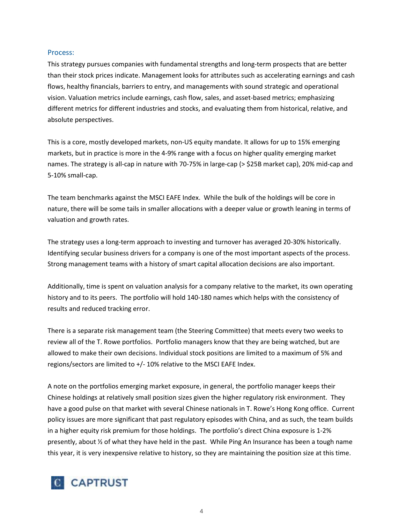#### Process:

This strategy pursues companies with fundamental strengths and long-term prospects that are better than their stock prices indicate. Management looks for attributes such as accelerating earnings and cash flows, healthy financials, barriers to entry, and managements with sound strategic and operational vision. Valuation metrics include earnings, cash flow, sales, and asset-based metrics; emphasizing different metrics for different industries and stocks, and evaluating them from historical, relative, and absolute perspectives.

This is a core, mostly developed markets, non-US equity mandate. It allows for up to 15% emerging markets, but in practice is more in the 4-9% range with a focus on higher quality emerging market names. The strategy is all-cap in nature with 70-75% in large-cap (> \$25B market cap), 20% mid-cap and 5-10% small-cap.

The team benchmarks against the MSCI EAFE Index. While the bulk of the holdings will be core in nature, there will be some tails in smaller allocations with a deeper value or growth leaning in terms of valuation and growth rates.

The strategy uses a long-term approach to investing and turnover has averaged 20-30% historically. Identifying secular business drivers for a company is one of the most important aspects of the process. Strong management teams with a history of smart capital allocation decisions are also important.

Additionally, time is spent on valuation analysis for a company relative to the market, its own operating history and to its peers. The portfolio will hold 140-180 names which helps with the consistency of results and reduced tracking error.

There is a separate risk management team (the Steering Committee) that meets every two weeks to review all of the T. Rowe portfolios. Portfolio managers know that they are being watched, but are allowed to make their own decisions. Individual stock positions are limited to a maximum of 5% and regions/sectors are limited to +/- 10% relative to the MSCI EAFE Index.

A note on the portfolios emerging market exposure, in general, the portfolio manager keeps their Chinese holdings at relatively small position sizes given the higher regulatory risk environment. They have a good pulse on that market with several Chinese nationals in T. Rowe's Hong Kong office. Current policy issues are more significant that past regulatory episodes with China, and as such, the team builds in a higher equity risk premium for those holdings. The portfolio's direct China exposure is 1-2% presently, about ½ of what they have held in the past. While Ping An Insurance has been a tough name this year, it is very inexpensive relative to history, so they are maintaining the position size at this time.

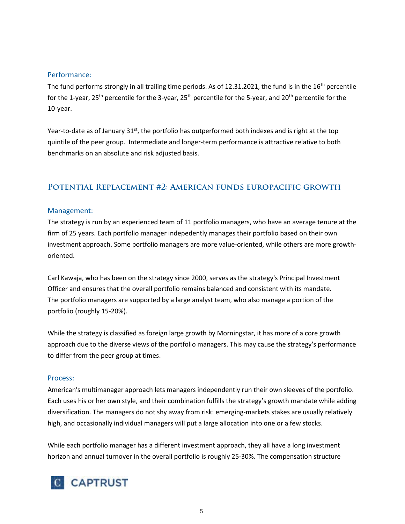#### Performance:

The fund performs strongly in all trailing time periods. As of 12.31.2021, the fund is in the  $16<sup>th</sup>$  percentile for the 1-year, 25<sup>th</sup> percentile for the 3-year, 25<sup>th</sup> percentile for the 5-year, and 20<sup>th</sup> percentile for the 10-year.

Year-to-date as of January 31<sup>st</sup>, the portfolio has outperformed both indexes and is right at the top quintile of the peer group. Intermediate and longer-term performance is attractive relative to both benchmarks on an absolute and risk adjusted basis.

## Potential Replacement #2: American funds europacific growth

### Management:

The strategy is run by an experienced team of 11 portfolio managers, who have an average tenure at the firm of 25 years. Each portfolio manager indepedently manages their portfolio based on their own investment approach. Some portfolio managers are more value-oriented, while others are more growthoriented.

Carl Kawaja, who has been on the strategy since 2000, serves as the strategy's Principal Investment Officer and ensures that the overall portfolio remains balanced and consistent with its mandate. The portfolio managers are supported by a large analyst team, who also manage a portion of the portfolio (roughly 15-20%).

While the strategy is classified as foreign large growth by Morningstar, it has more of a core growth approach due to the diverse views of the portfolio managers. This may cause the strategy's performance to differ from the peer group at times.

#### Process:

American's multimanager approach lets managers independently run their own sleeves of the portfolio. Each uses his or her own style, and their combination fulfills the strategy's growth mandate while adding diversification. The managers do not shy away from risk: emerging-markets stakes are usually relatively high, and occasionally individual managers will put a large allocation into one or a few stocks.

While each portfolio manager has a different investment approach, they all have a long investment horizon and annual turnover in the overall portfolio is roughly 25-30%. The compensation structure

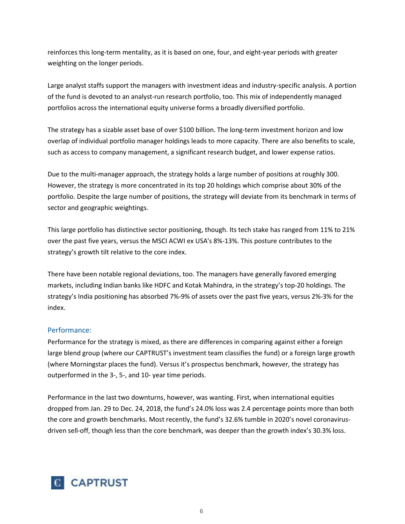reinforces this long-term mentality, as it is based on one, four, and eight-year periods with greater weighting on the longer periods.

Large analyst staffs support the managers with investment ideas and industry-specific analysis. A portion of the fund is devoted to an analyst-run research portfolio, too. This mix of independently managed portfolios across the international equity universe forms a broadly diversified portfolio.

The strategy has a sizable asset base of over \$100 billion. The long-term investment horizon and low overlap of individual portfolio manager holdings leads to more capacity. There are also benefits to scale, such as access to company management, a significant research budget, and lower expense ratios.

Due to the multi-manager approach, the strategy holds a large number of positions at roughly 300. However, the strategy is more concentrated in its top 20 holdings which comprise about 30% of the portfolio. Despite the large number of positions, the strategy will deviate from its benchmark in terms of sector and geographic weightings.

This large portfolio has distinctive sector positioning, though. Its tech stake has ranged from 11% to 21% over the past five years, versus the MSCI ACWI ex USA's 8%-13%. This posture contributes to the strategy's growth tilt relative to the core index.

There have been notable regional deviations, too. The managers have generally favored emerging markets, including Indian banks like HDFC and Kotak Mahindra, in the strategy's top-20 holdings. The strategy's India positioning has absorbed 7%-9% of assets over the past five years, versus 2%-3% for the index.

## Performance:

Performance for the strategy is mixed, as there are differences in comparing against either a foreign large blend group (where our CAPTRUST's investment team classifies the fund) or a foreign large growth (where Morningstar places the fund). Versus it's prospectus benchmark, however, the strategy has outperformed in the 3-, 5-, and 10- year time periods.

Performance in the last two downturns, however, was wanting. First, when international equities dropped from Jan. 29 to Dec. 24, 2018, the fund's 24.0% loss was 2.4 percentage points more than both the core and growth benchmarks. Most recently, the fund's 32.6% tumble in 2020's novel coronavirusdriven sell-off, though less than the core benchmark, was deeper than the growth index's 30.3% loss.